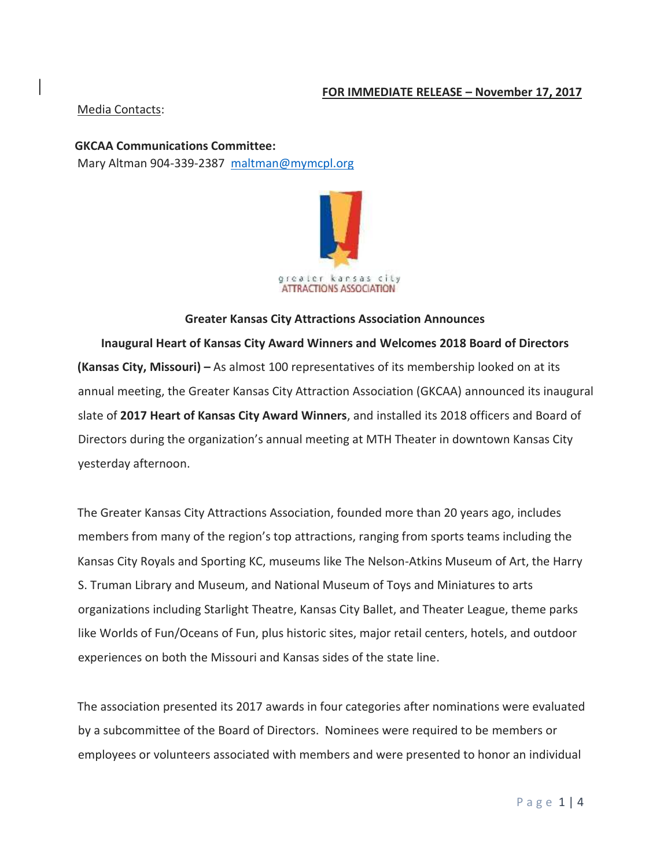# **FOR IMMEDIATE RELEASE – November 17, 2017**

## Media Contacts:

**GKCAA Communications Committee:**  Mary Altman 904-339-2387 maltman@mymcpl.org



### **Greater Kansas City Attractions Association Announces**

**Inaugural Heart of Kansas City Award Winners and Welcomes 2018 Board of Directors (Kansas City, Missouri) –** As almost 100 representatives of its membership looked on at its annual meeting, the Greater Kansas City Attraction Association (GKCAA) announced its inaugural slate of **2017 Heart of Kansas City Award Winners**, and installed its 2018 officers and Board of Directors during the organization's annual meeting at MTH Theater in downtown Kansas City yesterday afternoon.

The Greater Kansas City Attractions Association, founded more than 20 years ago, includes members from many of the region's top attractions, ranging from sports teams including the Kansas City Royals and Sporting KC, museums like The Nelson-Atkins Museum of Art, the Harry S. Truman Library and Museum, and National Museum of Toys and Miniatures to arts organizations including Starlight Theatre, Kansas City Ballet, and Theater League, theme parks like Worlds of Fun/Oceans of Fun, plus historic sites, major retail centers, hotels, and outdoor experiences on both the Missouri and Kansas sides of the state line.

The association presented its 2017 awards in four categories after nominations were evaluated by a subcommittee of the Board of Directors. Nominees were required to be members or employees or volunteers associated with members and were presented to honor an individual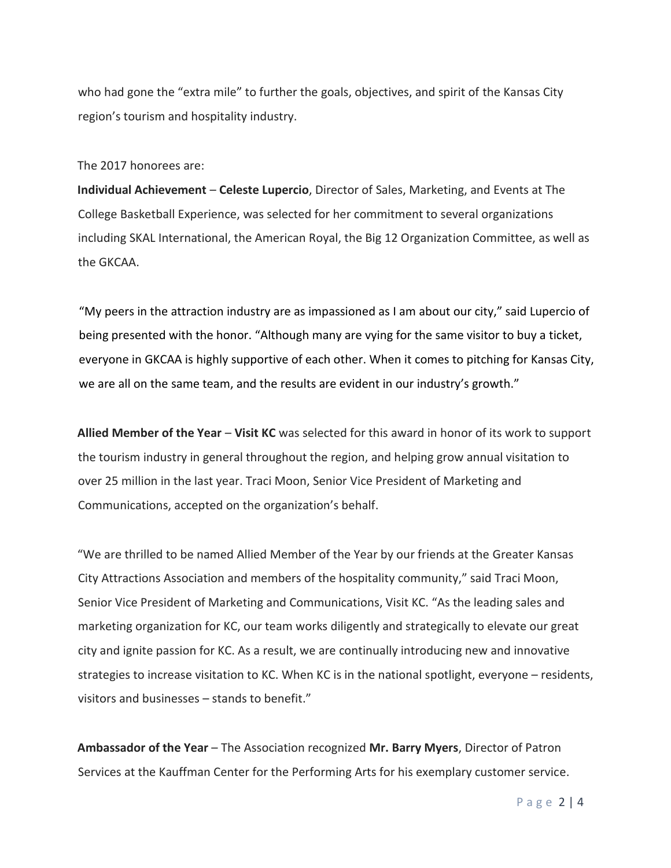who had gone the "extra mile" to further the goals, objectives, and spirit of the Kansas City region's tourism and hospitality industry.

#### The 2017 honorees are:

**Individual Achievement** – **Celeste Lupercio**, Director of Sales, Marketing, and Events at The College Basketball Experience, was selected for her commitment to several organizations including SKAL International, the American Royal, the Big 12 Organization Committee, as well as the GKCAA.

"My peers in the attraction industry are as impassioned as I am about our city," said Lupercio of being presented with the honor. "Although many are vying for the same visitor to buy a ticket, everyone in GKCAA is highly supportive of each other. When it comes to pitching for Kansas City, we are all on the same team, and the results are evident in our industry's growth."

**Allied Member of the Year** – **Visit KC** was selected for this award in honor of its work to support the tourism industry in general throughout the region, and helping grow annual visitation to over 25 million in the last year. Traci Moon, Senior Vice President of Marketing and Communications, accepted on the organization's behalf.

"We are thrilled to be named Allied Member of the Year by our friends at the Greater Kansas City Attractions Association and members of the hospitality community," said Traci Moon, Senior Vice President of Marketing and Communications, Visit KC. "As the leading sales and marketing organization for KC, our team works diligently and strategically to elevate our great city and ignite passion for KC. As a result, we are continually introducing new and innovative strategies to increase visitation to KC. When KC is in the national spotlight, everyone – residents, visitors and businesses – stands to benefit."

**Ambassador of the Year** – The Association recognized **Mr. Barry Myers**, Director of Patron Services at the Kauffman Center for the Performing Arts for his exemplary customer service.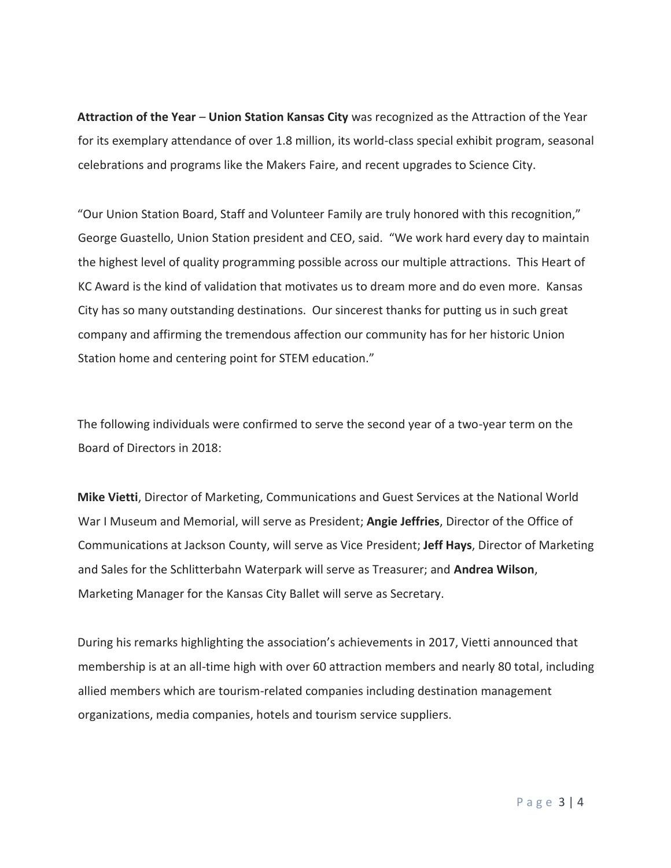**Attraction of the Year** – **Union Station Kansas City** was recognized as the Attraction of the Year for its exemplary attendance of over 1.8 million, its world-class special exhibit program, seasonal celebrations and programs like the Makers Faire, and recent upgrades to Science City.

"Our Union Station Board, Staff and Volunteer Family are truly honored with this recognition," George Guastello, Union Station president and CEO, said. "We work hard every day to maintain the highest level of quality programming possible across our multiple attractions. This Heart of KC Award is the kind of validation that motivates us to dream more and do even more. Kansas City has so many outstanding destinations. Our sincerest thanks for putting us in such great company and affirming the tremendous affection our community has for her historic Union Station home and centering point for STEM education."

The following individuals were confirmed to serve the second year of a two-year term on the Board of Directors in 2018:

**Mike Vietti**, Director of Marketing, Communications and Guest Services at the National World War I Museum and Memorial, will serve as President; **Angie Jeffries**, Director of the Office of Communications at Jackson County, will serve as Vice President; **Jeff Hays**, Director of Marketing and Sales for the Schlitterbahn Waterpark will serve as Treasurer; and **Andrea Wilson**, Marketing Manager for the Kansas City Ballet will serve as Secretary.

During his remarks highlighting the association's achievements in 2017, Vietti announced that membership is at an all-time high with over 60 attraction members and nearly 80 total, including allied members which are tourism-related companies including destination management organizations, media companies, hotels and tourism service suppliers.